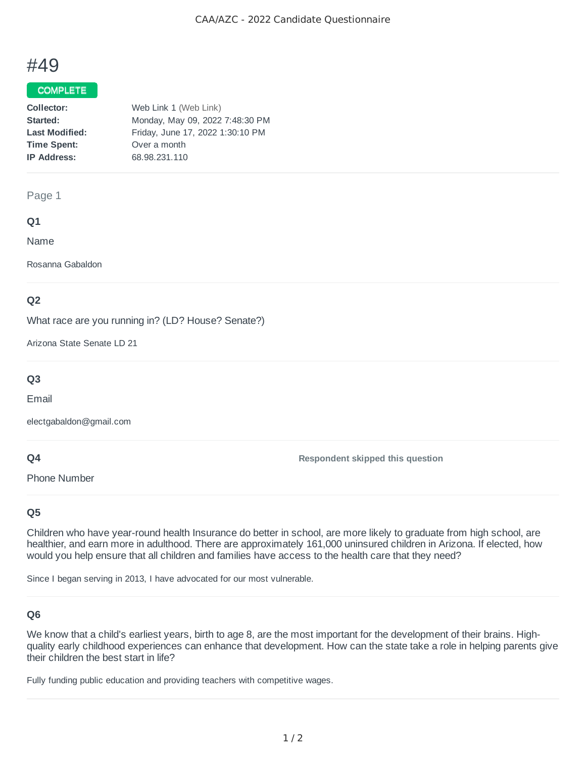# #49

#### **COMPLETE**

| Collector:            | Web Link 1 (Web Link)            |
|-----------------------|----------------------------------|
| Started:              | Monday, May 09, 2022 7:48:30 PM  |
| <b>Last Modified:</b> | Friday, June 17, 2022 1:30:10 PM |
| <b>Time Spent:</b>    | Over a month                     |
| <b>IP Address:</b>    | 68.98.231.110                    |
|                       |                                  |

#### Page 1

## **Q1**

Name

Rosanna Gabaldon

## **Q2**

What race are you running in? (LD? House? Senate?)

Arizona State Senate LD 21

## **Q3**

Email

electgabaldon@gmail.com

#### **Q4**

Phone Number

**Respondent skipped this question**

## **Q5**

Children who have year-round health Insurance do better in school, are more likely to graduate from high school, are healthier, and earn more in adulthood. There are approximately 161,000 uninsured children in Arizona. If elected, how would you help ensure that all children and families have access to the health care that they need?

Since I began serving in 2013, I have advocated for our most vulnerable.

## **Q6**

We know that a child's earliest years, birth to age 8, are the most important for the development of their brains. Highquality early childhood experiences can enhance that development. How can the state take a role in helping parents give their children the best start in life?

Fully funding public education and providing teachers with competitive wages.